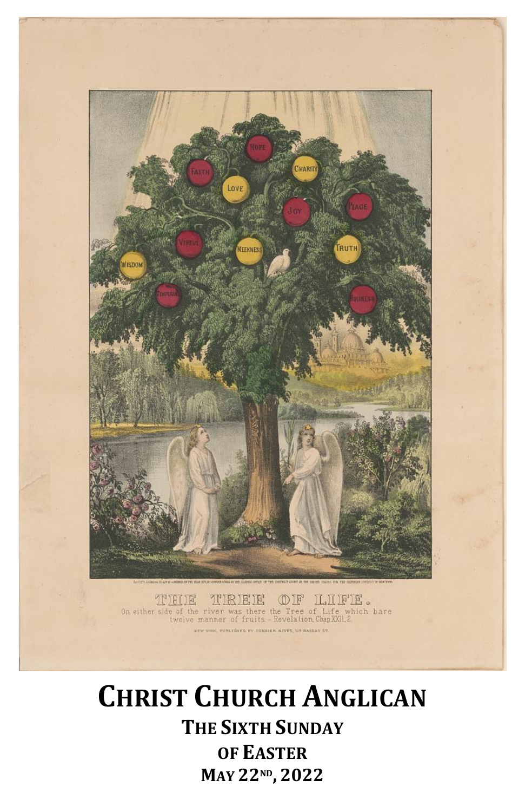

# **CHRIST CHURCH ANGLICAN**

**THE SIXTH SUNDAY OF EASTER MAY 22ND, 2022**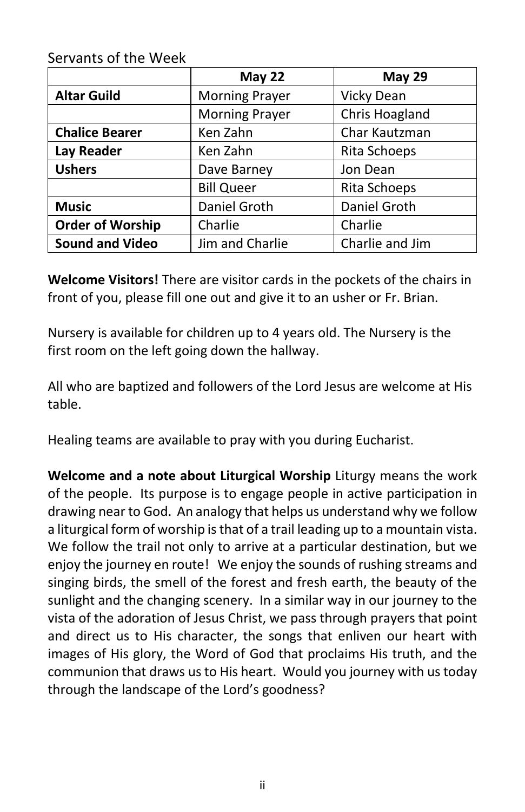#### Servants of the Week

|                         | May 22                | <b>May 29</b>   |
|-------------------------|-----------------------|-----------------|
| <b>Altar Guild</b>      | <b>Morning Prayer</b> | Vicky Dean      |
|                         | <b>Morning Prayer</b> | Chris Hoagland  |
| <b>Chalice Bearer</b>   | Ken Zahn              | Char Kautzman   |
| Lay Reader              | Ken Zahn              | Rita Schoeps    |
| <b>Ushers</b>           | Dave Barney           | Jon Dean        |
|                         | <b>Bill Queer</b>     | Rita Schoeps    |
| <b>Music</b>            | Daniel Groth          | Daniel Groth    |
| <b>Order of Worship</b> | Charlie               | Charlie         |
| <b>Sound and Video</b>  | Jim and Charlie       | Charlie and Jim |

**Welcome Visitors!** There are visitor cards in the pockets of the chairs in front of you, please fill one out and give it to an usher or Fr. Brian.

Nursery is available for children up to 4 years old. The Nursery is the first room on the left going down the hallway.

All who are baptized and followers of the Lord Jesus are welcome at His table.

Healing teams are available to pray with you during Eucharist.

**Welcome and a note about Liturgical Worship** Liturgy means the work of the people. Its purpose is to engage people in active participation in drawing near to God. An analogy that helps us understand why we follow a liturgical form of worship is that of a trail leading up to a mountain vista. We follow the trail not only to arrive at a particular destination, but we enjoy the journey en route! We enjoy the sounds of rushing streams and singing birds, the smell of the forest and fresh earth, the beauty of the sunlight and the changing scenery. In a similar way in our journey to the vista of the adoration of Jesus Christ, we pass through prayers that point and direct us to His character, the songs that enliven our heart with images of His glory, the Word of God that proclaims His truth, and the communion that draws us to His heart. Would you journey with us today through the landscape of the Lord's goodness?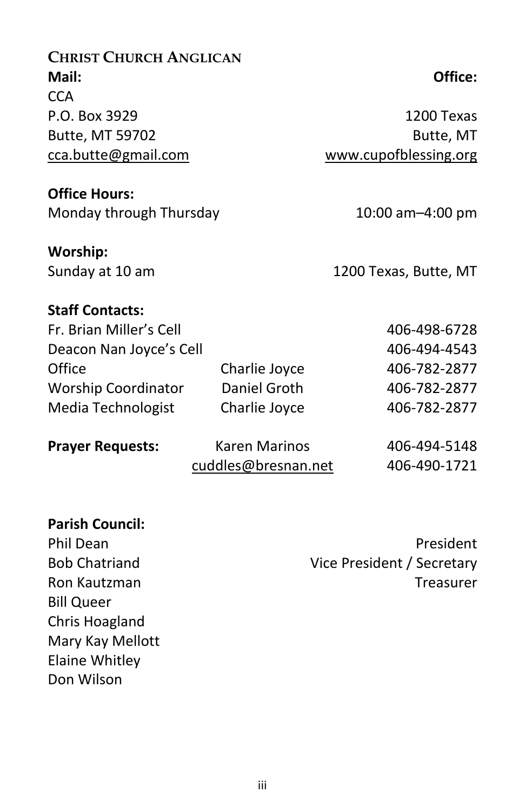| <b>CHRIST CHURCH ANGLICAN</b><br>Mail:<br>CCA |               | Office:               |
|-----------------------------------------------|---------------|-----------------------|
| P.O. Box 3929                                 |               | 1200 Texas            |
| Butte, MT 59702                               |               | Butte, MT             |
| cca.butte@gmail.com                           |               | www.cupofblessing.org |
| <b>Office Hours:</b>                          |               |                       |
| Monday through Thursday                       |               | 10:00 am-4:00 pm      |
| Worship:                                      |               |                       |
| Sunday at 10 am                               |               | 1200 Texas, Butte, MT |
| <b>Staff Contacts:</b>                        |               |                       |
| Fr. Brian Miller's Cell                       |               | 406-498-6728          |
| Deacon Nan Joyce's Cell                       |               | 406-494-4543          |
| Office                                        | Charlie Joyce | 406-782-2877          |
| <b>Worship Coordinator</b>                    | Daniel Groth  | 406-782-2877          |

Media Technologist Charlie Joyce 406-782-2877

| <b>Prayer Requests:</b> | Karen Marinos       | 406-494-5148 |
|-------------------------|---------------------|--------------|
|                         | cuddles@bresnan.net | 406-490-1721 |

**Parish Council:**  Bill Queer Chris Hoagland Mary Kay Mellott Elaine Whitley Don Wilson

Phil Dean **President** Bob Chatriand Vice President / Secretary Ron Kautzman Treasurer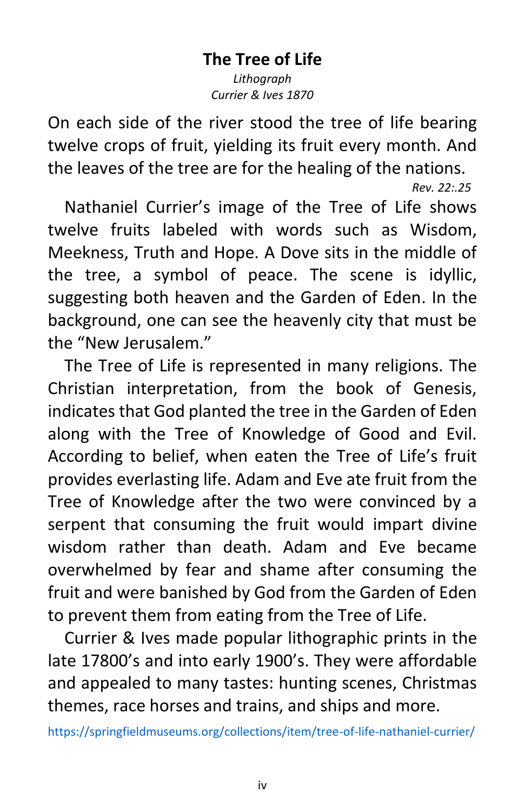#### **The Tree of Life**

*Lithograph Currier & Ives 1870*

On each side of the river stood the tree of life bearing twelve crops of fruit, yielding its fruit every month. And the leaves of the tree are for the healing of the nations.

*Rev. 22:.25* 

 Nathaniel Currier's image of the Tree of Life shows twelve fruits labeled with words such as Wisdom, Meekness, Truth and Hope. A Dove sits in the middle of the tree, a symbol of peace. The scene is idyllic, suggesting both heaven and the Garden of Eden. In the background, one can see the heavenly city that must be the "New Jerusalem."

 The Tree of Life is represented in many religions. The Christian interpretation, from the book of Genesis, indicates that God planted the tree in the Garden of Eden along with the Tree of Knowledge of Good and Evil. According to belief, when eaten the Tree of Life's fruit provides everlasting life. Adam and Eve ate fruit from the Tree of Knowledge after the two were convinced by a serpent that consuming the fruit would impart divine wisdom rather than death. Adam and Eve became overwhelmed by fear and shame after consuming the fruit and were banished by God from the Garden of Eden to prevent them from eating from the Tree of Life.

 Currier & Ives made popular lithographic prints in the late 17800's and into early 1900's. They were affordable and appealed to many tastes: hunting scenes, Christmas themes, race horses and trains, and ships and more.

https://springfieldmuseums.org/collections/item/tree-of-life-nathaniel-currier/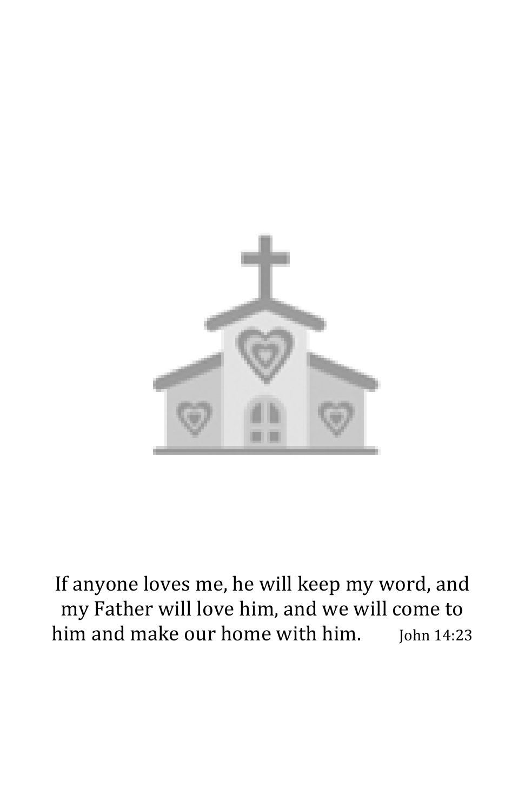

If anyone loves me, he will keep my word, and my Father will love him, and we will come to him and make our home with him. John 14:23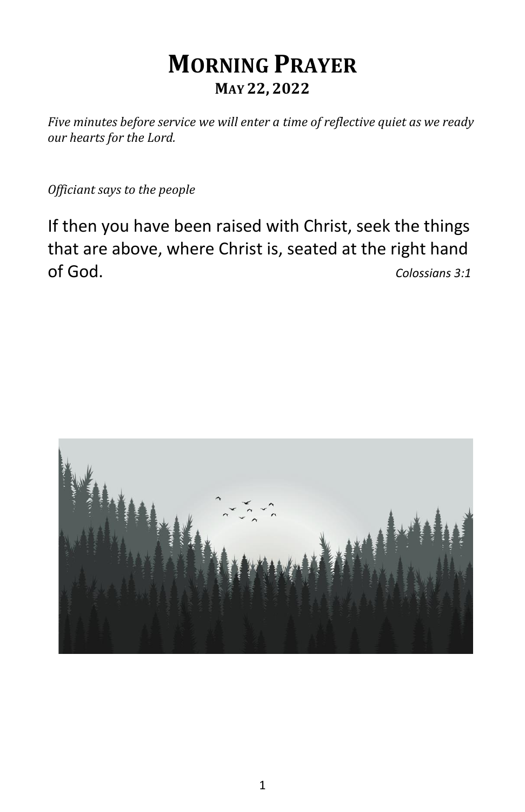# **MORNING PRAYER MAY 22, 2022**

*Five minutes before service we will enter a time of reflective quiet as we ready our hearts for the Lord.*

*Officiant says to the people*

If then you have been raised with Christ, seek the things that are above, where Christ is, seated at the right hand of God. *Colossians 3:1*

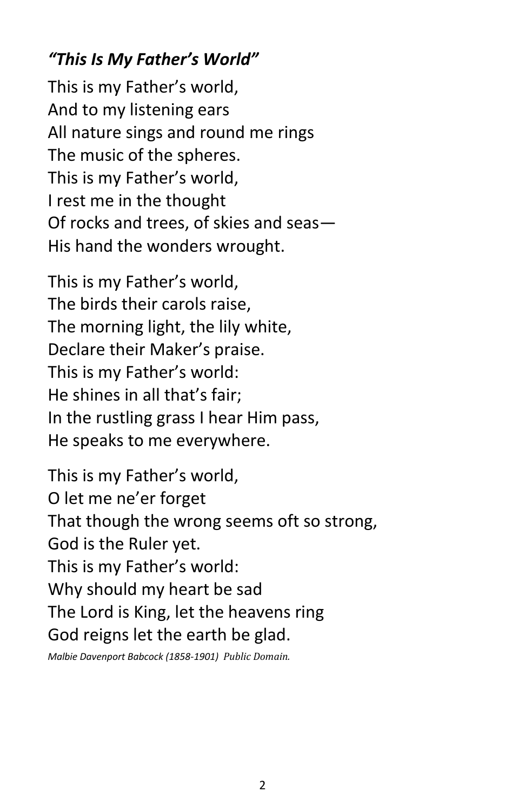#### *"This Is My Father's World"*

This is my Father's world, And to my listening ears All nature sings and round me rings The music of the spheres. This is my Father's world, I rest me in the thought Of rocks and trees, of skies and seas— His hand the wonders wrought.

This is my Father's world, The birds their carols raise, The morning light, the lily white, Declare their Maker's praise. This is my Father's world: He shines in all that's fair; In the rustling grass I hear Him pass, He speaks to me everywhere.

This is my Father's world, O let me ne'er forget That though the wrong seems oft so strong, God is the Ruler yet. This is my Father's world: Why should my heart be sad The Lord is King, let the heavens ring God reigns let the earth be glad.

*Malbie Davenport Babcock (1858-1901) Public Domain.*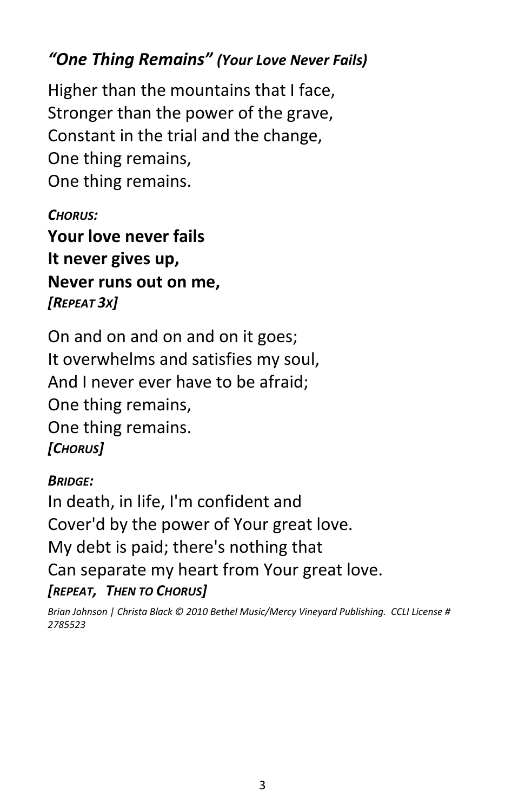### *"One Thing Remains" (Your Love Never Fails)*

Higher than the mountains that I face, Stronger than the power of the grave, Constant in the trial and the change, One thing remains, One thing remains.

*CHORUS:* **Your love never fails It never gives up, Never runs out on me,** *[REPEAT 3X]*

On and on and on and on it goes; It overwhelms and satisfies my soul, And I never ever have to be afraid; One thing remains, One thing remains. *[CHORUS]*

#### *BRIDGE:*

In death, in life, I'm confident and Cover'd by the power of Your great love. My debt is paid; there's nothing that Can separate my heart from Your great love. *[REPEAT, THEN TO CHORUS]*

*Brian Johnson | Christa Black © 2010 Bethel Music/Mercy Vineyard Publishing. CCLI License # 2785523*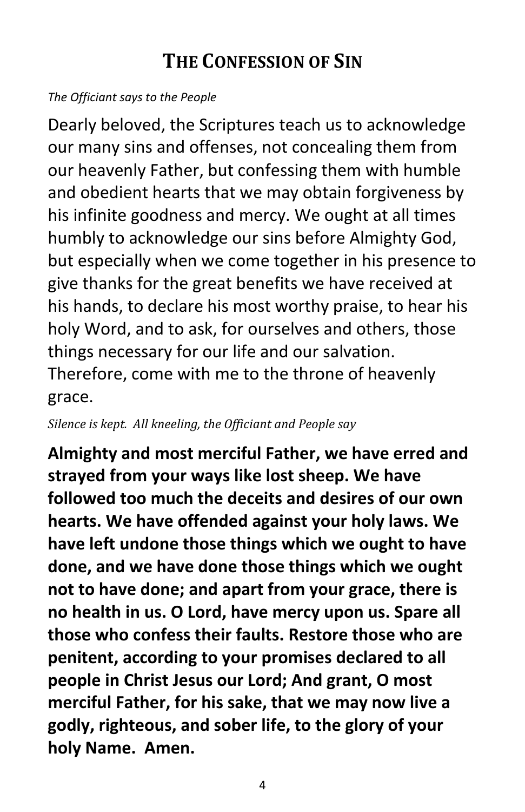# **THE CONFESSION OF SIN**

#### *The Officiant says to the People*

Dearly beloved, the Scriptures teach us to acknowledge our many sins and offenses, not concealing them from our heavenly Father, but confessing them with humble and obedient hearts that we may obtain forgiveness by his infinite goodness and mercy. We ought at all times humbly to acknowledge our sins before Almighty God, but especially when we come together in his presence to give thanks for the great benefits we have received at his hands, to declare his most worthy praise, to hear his holy Word, and to ask, for ourselves and others, those things necessary for our life and our salvation. Therefore, come with me to the throne of heavenly grace.

*Silence is kept. All kneeling, the Officiant and People say*

**Almighty and most merciful Father, we have erred and strayed from your ways like lost sheep. We have followed too much the deceits and desires of our own hearts. We have offended against your holy laws. We have left undone those things which we ought to have done, and we have done those things which we ought not to have done; and apart from your grace, there is no health in us. O Lord, have mercy upon us. Spare all those who confess their faults. Restore those who are penitent, according to your promises declared to all people in Christ Jesus our Lord; And grant, O most merciful Father, for his sake, that we may now live a godly, righteous, and sober life, to the glory of your holy Name. Amen.**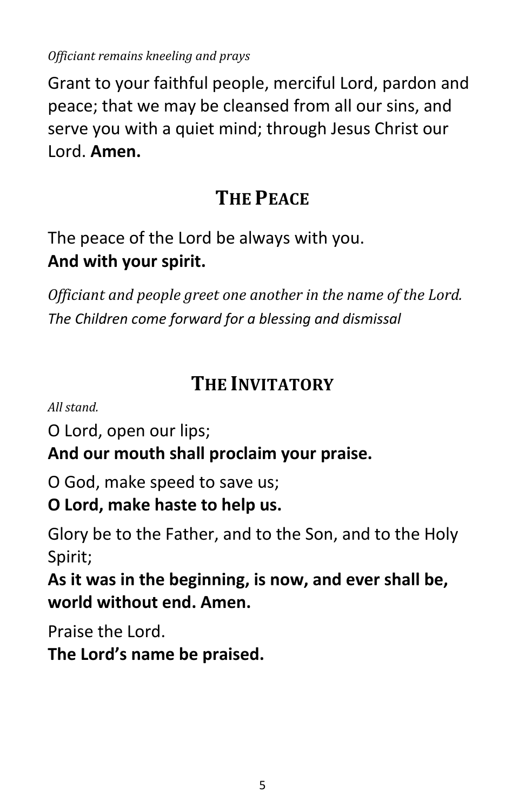*Officiant remains kneeling and prays*

Grant to your faithful people, merciful Lord, pardon and peace; that we may be cleansed from all our sins, and serve you with a quiet mind; through Jesus Christ our Lord. **Amen.**

# **THE PEACE**

The peace of the Lord be always with you. **And with your spirit.** 

*Officiant and people greet one another in the name of the Lord. The Children come forward for a blessing and dismissal*

# **THE INVITATORY**

*All stand.*

O Lord, open our lips;

**And our mouth shall proclaim your praise.**

O God, make speed to save us;

**O Lord, make haste to help us.**

Glory be to the Father, and to the Son, and to the Holy Spirit;

**As it was in the beginning, is now, and ever shall be, world without end. Amen.**

Praise the Lord.

**The Lord's name be praised.**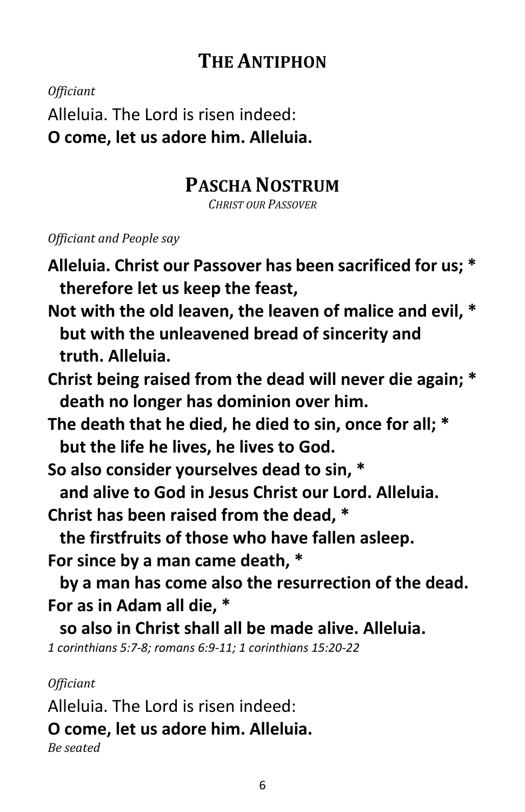### **THE ANTIPHON**

*Officiant*

Alleluia. The Lord is risen indeed: **O come, let us adore him. Alleluia.**

# **PASCHA NOSTRUM**

*CHRIST OUR PASSOVER*

*Officiant and People say*

**Alleluia. Christ our Passover has been sacrificed for us; \* therefore let us keep the feast,** 

**Not with the old leaven, the leaven of malice and evil, \* but with the unleavened bread of sincerity and truth. Alleluia.** 

- **Christ being raised from the dead will never die again; \* death no longer has dominion over him.**
- **The death that he died, he died to sin, once for all; \* but the life he lives, he lives to God.**

**So also consider yourselves dead to sin, \*** 

**and alive to God in Jesus Christ our Lord. Alleluia.** 

**Christ has been raised from the dead, \*** 

**the firstfruits of those who have fallen asleep.** 

**For since by a man came death, \*** 

**by a man has come also the resurrection of the dead. For as in Adam all die, \*** 

**so also in Christ shall all be made alive. Alleluia.** 

*1 corinthians 5:7-8; romans 6:9-11; 1 corinthians 15:20-22*

*Officiant*

Alleluia. The Lord is risen indeed:

#### **O come, let us adore him. Alleluia.**

*Be seated*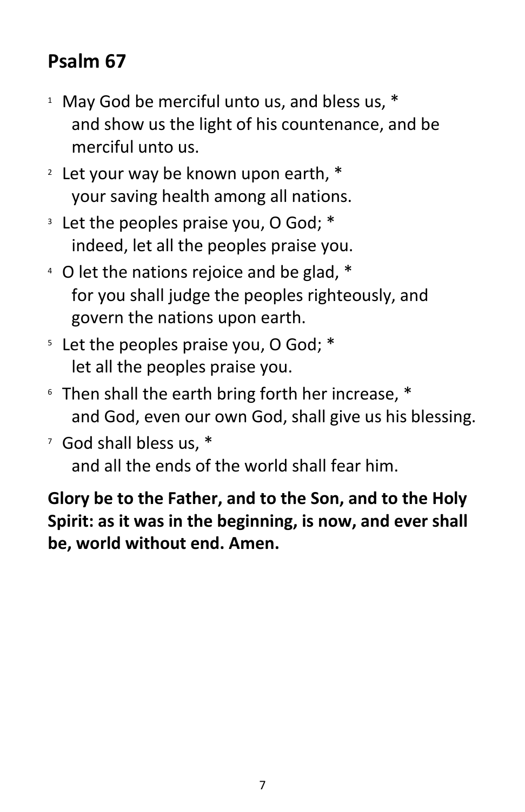# **Psalm 67**

- <sup>1</sup> May God be merciful unto us, and bless us,  $*$ and show us the light of his countenance, and be merciful unto us.
- $2$  Let your way be known upon earth,  $*$ your saving health among all nations.
- <sup>3</sup> Let the peoples praise you, O God; \* indeed, let all the peoples praise you.
- <sup>4</sup> O let the nations rejoice and be glad, \* for you shall judge the peoples righteously, and govern the nations upon earth.
- <sup>5</sup> Let the peoples praise you, O God; \* let all the peoples praise you.
- <sup>6</sup> Then shall the earth bring forth her increase, \* and God, even our own God, shall give us his blessing.
- <sup>7</sup> God shall bless us, \* and all the ends of the world shall fear him.

**Glory be to the Father, and to the Son, and to the Holy Spirit: as it was in the beginning, is now, and ever shall be, world without end. Amen.**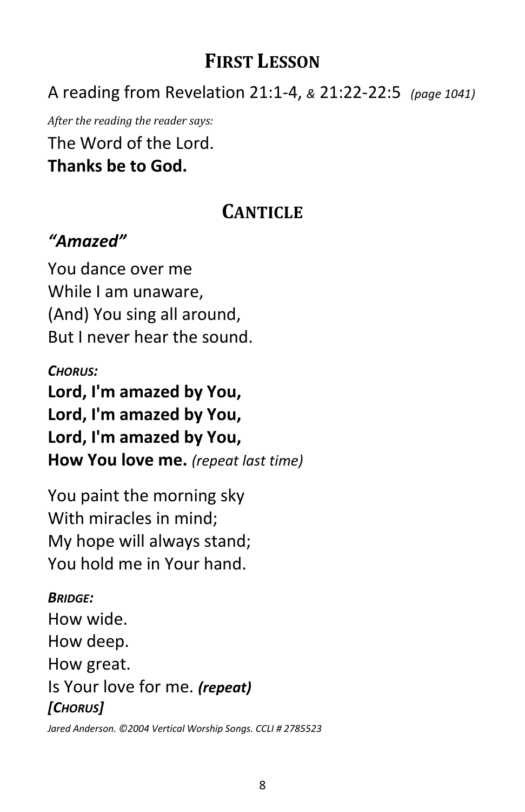### **FIRST LESSON**

A reading from Revelation 21:1-4, *&* 21:22-22:5 *(page 1041)*

*After the reading the reader says:* The Word of the Lord. **Thanks be to God.**

# **CANTICLE**

### *"Amazed"*

You dance over me While I am unaware, (And) You sing all around, But I never hear the sound.

#### *CHORUS:*

**Lord, I'm amazed by You, Lord, I'm amazed by You, Lord, I'm amazed by You, How You love me.** *(repeat last time)*

You paint the morning sky With miracles in mind; My hope will always stand; You hold me in Your hand.

#### *BRIDGE:*

How wide. How deep. How great. Is Your love for me. *(repeat) [CHORUS]*

*Jared Anderson. ©2004 Vertical Worship Songs. CCLI # 2785523*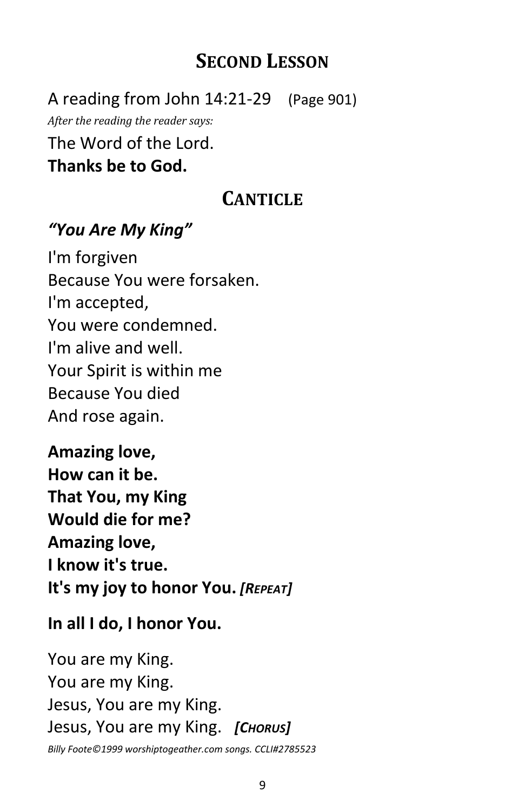### **SECOND LESSON**

A reading from John 14:21-29 (Page 901) *After the reading the reader says:*

The Word of the Lord.

**Thanks be to God.**

# **CANTICLE**

#### *"You Are My King"*

I'm forgiven Because You were forsaken. I'm accepted, You were condemned. I'm alive and well. Your Spirit is within me Because You died And rose again.

**Amazing love, How can it be. That You, my King Would die for me? Amazing love, I know it's true. It's my joy to honor You.** *[REPEAT]*

**In all I do, I honor You.** 

You are my King. You are my King. Jesus, You are my King. Jesus, You are my King. *[CHORUS] Billy Foote©1999 worshiptogeather.com songs. CCLI#2785523*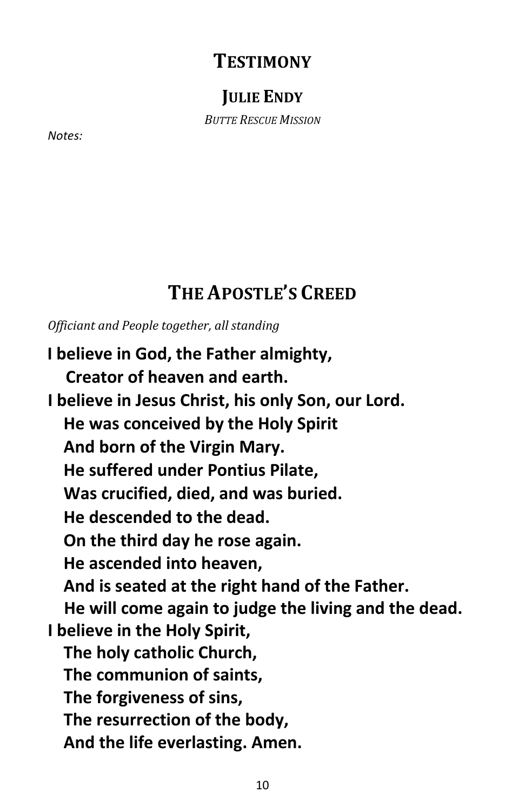**TESTIMONY**

#### **JULIE ENDY**

*BUTTE RESCUE MISSION*

*Notes:*

# **THE APOSTLE'S CREED**

*Officiant and People together, all standing*

**I believe in God, the Father almighty, Creator of heaven and earth. I believe in Jesus Christ, his only Son, our Lord. He was conceived by the Holy Spirit And born of the Virgin Mary. He suffered under Pontius Pilate, Was crucified, died, and was buried. He descended to the dead. On the third day he rose again. He ascended into heaven, And is seated at the right hand of the Father. He will come again to judge the living and the dead. I believe in the Holy Spirit, The holy catholic Church, The communion of saints, The forgiveness of sins, The resurrection of the body, And the life everlasting. Amen.**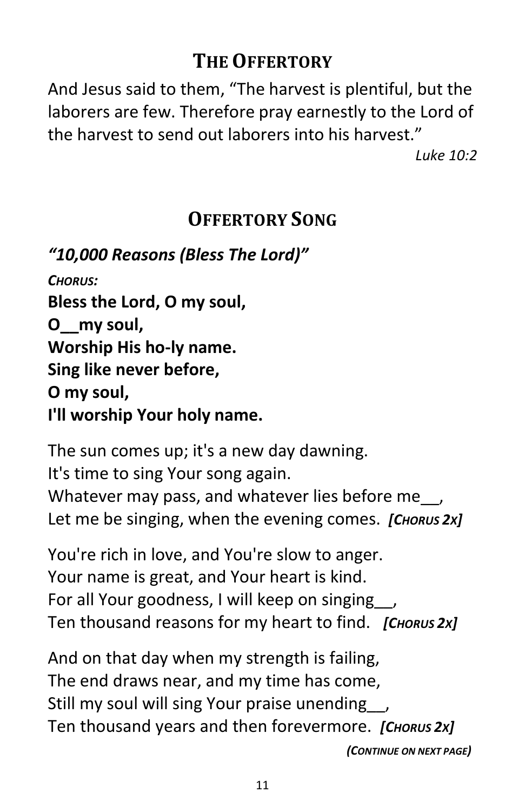# **THE OFFERTORY**

And Jesus said to them, "The harvest is plentiful, but the laborers are few. Therefore pray earnestly to the Lord of the harvest to send out laborers into his harvest."

*Luke 10:2*

# **OFFERTORY SONG**

*"10,000 Reasons (Bless The Lord)"*

*CHORUS:* **Bless the Lord, O my soul, O\_\_my soul, Worship His ho-ly name. Sing like never before, O my soul, I'll worship Your holy name.**

The sun comes up; it's a new day dawning. It's time to sing Your song again. Whatever may pass, and whatever lies before me Let me be singing, when the evening comes. *[CHORUS 2X]*

You're rich in love, and You're slow to anger. Your name is great, and Your heart is kind. For all Your goodness, I will keep on singing\_\_, Ten thousand reasons for my heart to find. *[CHORUS 2X]*

And on that day when my strength is failing, The end draws near, and my time has come, Still my soul will sing Your praise unending\_\_, Ten thousand years and then forevermore. *[CHORUS 2X]*

*(CONTINUE ON NEXT PAGE)*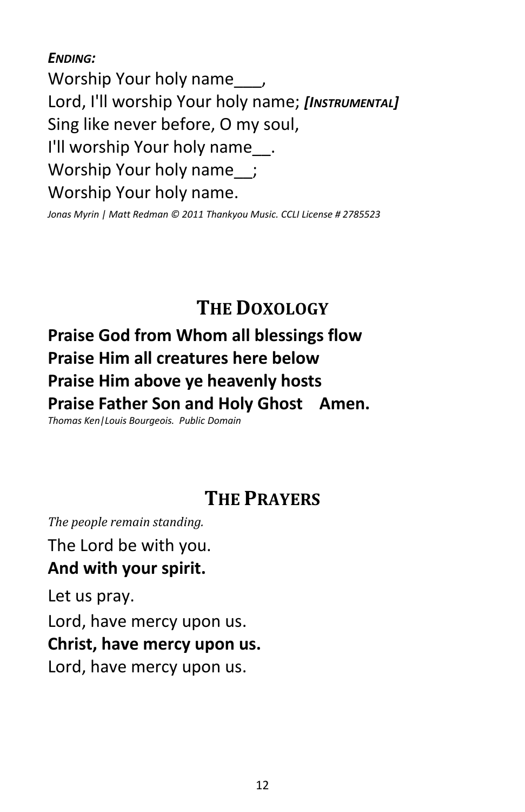*ENDING:*

Worship Your holy name Lord, I'll worship Your holy name; *[INSTRUMENTAL]* Sing like never before, O my soul, I'll worship Your holy name\_\_. Worship Your holy name\_\_; Worship Your holy name.

*Jonas Myrin | Matt Redman © 2011 Thankyou Music. CCLI License # 2785523*

# **THE DOXOLOGY**

### **Praise God from Whom all blessings flow Praise Him all creatures here below Praise Him above ye heavenly hosts Praise Father Son and Holy Ghost Amen.**

*Thomas Ken|Louis Bourgeois. Public Domain*

### **THE PRAYERS**

*The people remain standing.* The Lord be with you. **And with your spirit.** Let us pray. Lord, have mercy upon us. **Christ, have mercy upon us.** Lord, have mercy upon us.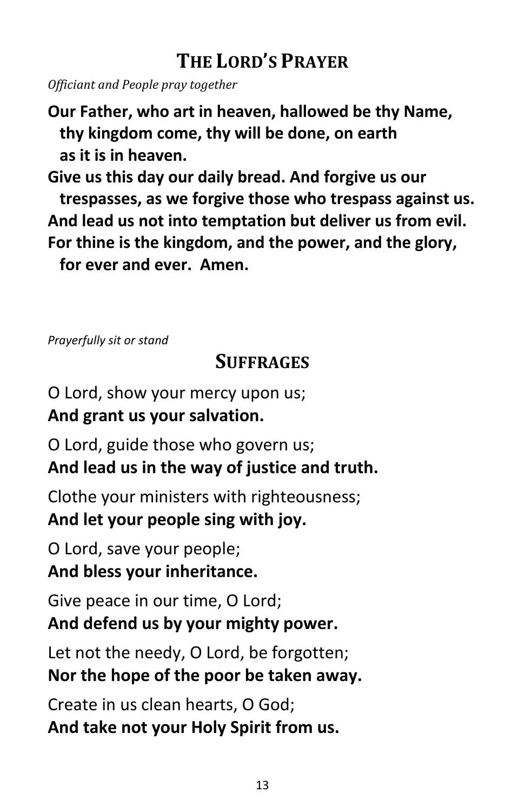# **THE LORD'S PRAYER**

*Officiant and People pray together*

**Our Father, who art in heaven, hallowed be thy Name, thy kingdom come, thy will be done, on earth as it is in heaven.**

**Give us this day our daily bread. And forgive us our trespasses, as we forgive those who trespass against us. And lead us not into temptation but deliver us from evil. For thine is the kingdom, and the power, and the glory, for ever and ever. Amen.**

*Prayerfully sit or stand*

# **SUFFRAGES**

O Lord, show your mercy upon us; **And grant us your salvation.**

O Lord, guide those who govern us; **And lead us in the way of justice and truth.**

Clothe your ministers with righteousness;

**And let your people sing with joy.**

O Lord, save your people; **And bless your inheritance.**

Give peace in our time, O Lord; **And defend us by your mighty power.**

Let not the needy, O Lord, be forgotten; **Nor the hope of the poor be taken away.**

Create in us clean hearts, O God; **And take not your Holy Spirit from us.**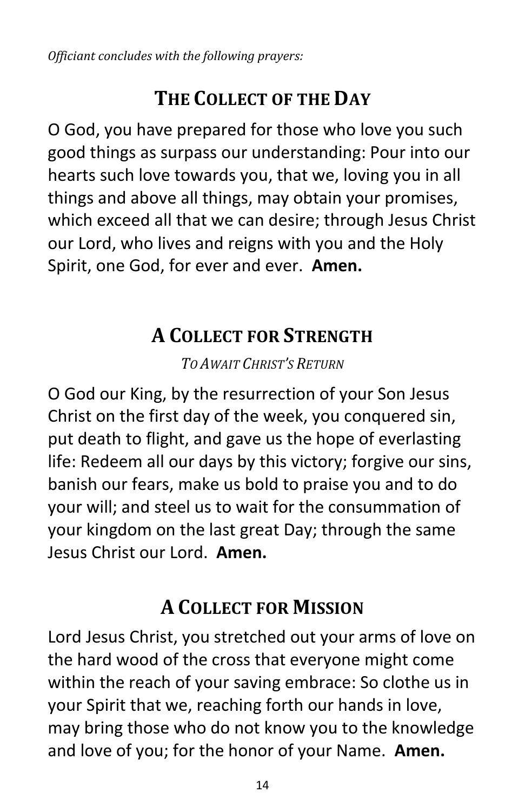*Officiant concludes with the following prayers:*

# **THE COLLECT OF THE DAY**

O God, you have prepared for those who love you such good things as surpass our understanding: Pour into our hearts such love towards you, that we, loving you in all things and above all things, may obtain your promises, which exceed all that we can desire; through Jesus Christ our Lord, who lives and reigns with you and the Holy Spirit, one God, for ever and ever. **Amen.**

# **A COLLECT FOR STRENGTH**

*TO AWAIT CHRIST'S RETURN*

O God our King, by the resurrection of your Son Jesus Christ on the first day of the week, you conquered sin, put death to flight, and gave us the hope of everlasting life: Redeem all our days by this victory; forgive our sins, banish our fears, make us bold to praise you and to do your will; and steel us to wait for the consummation of your kingdom on the last great Day; through the same Jesus Christ our Lord. **Amen.**

# **A COLLECT FOR MISSION**

Lord Jesus Christ, you stretched out your arms of love on the hard wood of the cross that everyone might come within the reach of your saving embrace: So clothe us in your Spirit that we, reaching forth our hands in love, may bring those who do not know you to the knowledge and love of you; for the honor of your Name. **Amen.**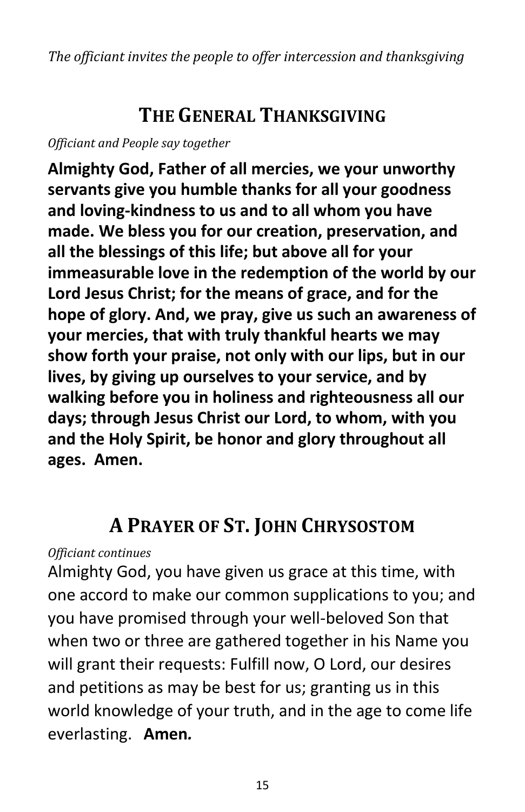*The officiant invites the people to offer intercession and thanksgiving*

# **THE GENERAL THANKSGIVING**

*Officiant and People say together*

**Almighty God, Father of all mercies, we your unworthy servants give you humble thanks for all your goodness and loving-kindness to us and to all whom you have made. We bless you for our creation, preservation, and all the blessings of this life; but above all for your immeasurable love in the redemption of the world by our Lord Jesus Christ; for the means of grace, and for the hope of glory. And, we pray, give us such an awareness of your mercies, that with truly thankful hearts we may show forth your praise, not only with our lips, but in our lives, by giving up ourselves to your service, and by walking before you in holiness and righteousness all our days; through Jesus Christ our Lord, to whom, with you and the Holy Spirit, be honor and glory throughout all ages. Amen.**

# **A PRAYER OF ST. JOHN CHRYSOSTOM**

*Officiant continues*

Almighty God, you have given us grace at this time, with one accord to make our common supplications to you; and you have promised through your well-beloved Son that when two or three are gathered together in his Name you will grant their requests: Fulfill now, O Lord, our desires and petitions as may be best for us; granting us in this world knowledge of your truth, and in the age to come life everlasting. **Amen***.*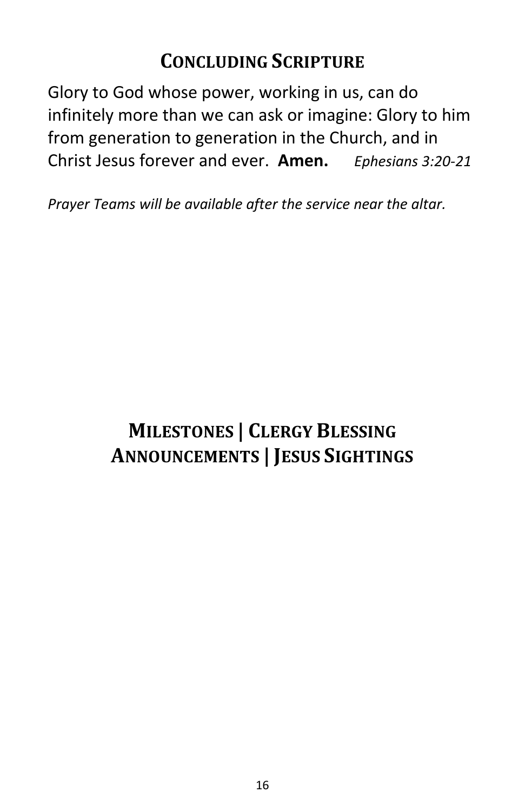### **CONCLUDING SCRIPTURE**

Glory to God whose power, working in us, can do infinitely more than we can ask or imagine: Glory to him from generation to generation in the Church, and in Christ Jesus forever and ever. **Amen.** *Ephesians 3:20-21*

*Prayer Teams will be available after the service near the altar.*

# **MILESTONES | CLERGY BLESSING ANNOUNCEMENTS | JESUS SIGHTINGS**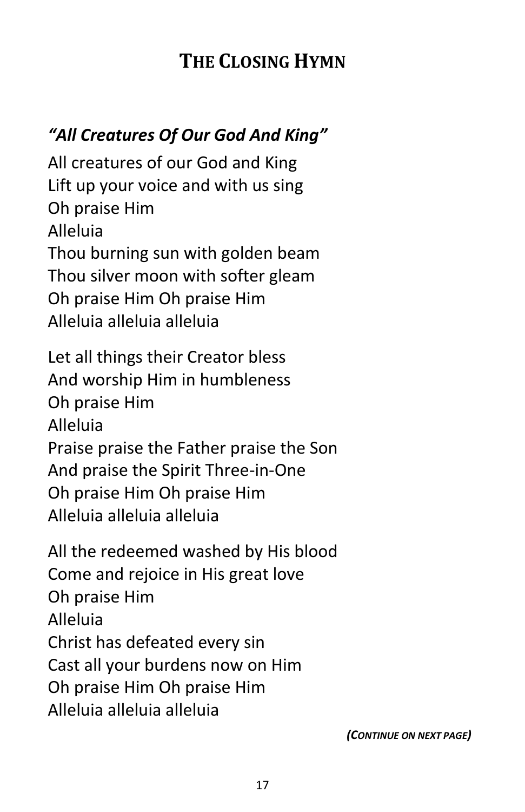# **THE CLOSING HYMN**

### *"All Creatures Of Our God And King"*

All creatures of our God and King Lift up your voice and with us sing Oh praise Him Alleluia Thou burning sun with golden beam Thou silver moon with softer gleam Oh praise Him Oh praise Him Alleluia alleluia alleluia

Let all things their Creator bless And worship Him in humbleness Oh praise Him Alleluia Praise praise the Father praise the Son And praise the Spirit Three-in-One Oh praise Him Oh praise Him Alleluia alleluia alleluia

All the redeemed washed by His blood Come and rejoice in His great love Oh praise Him Alleluia Christ has defeated every sin Cast all your burdens now on Him Oh praise Him Oh praise Him Alleluia alleluia alleluia

*(CONTINUE ON NEXT PAGE)*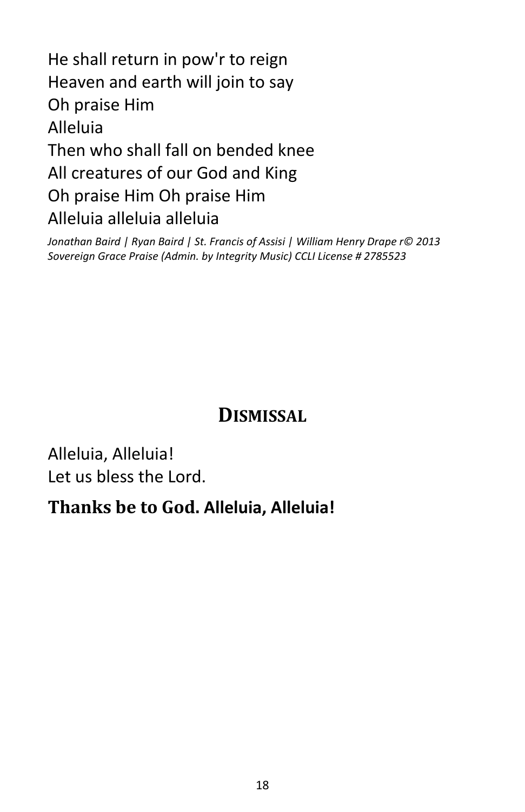He shall return in pow'r to reign Heaven and earth will join to say Oh praise Him Alleluia Then who shall fall on bended knee All creatures of our God and King Oh praise Him Oh praise Him Alleluia alleluia alleluia

*Jonathan Baird | Ryan Baird | St. Francis of Assisi | William Henry Drape r© 2013 Sovereign Grace Praise (Admin. by Integrity Music) CCLI License # 2785523*

### **DISMISSAL**

Alleluia, Alleluia! Let us bless the Lord.

**Thanks be to God. Alleluia, Alleluia!**